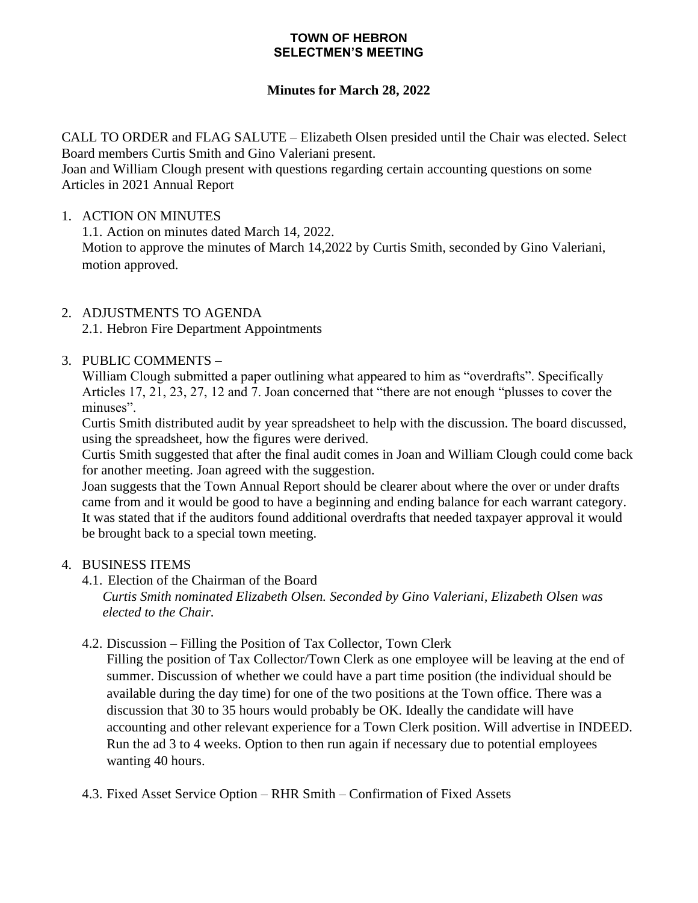#### **TOWN OF HEBRON SELECTMEN'S MEETING**

## **Minutes for March 28, 2022**

CALL TO ORDER and FLAG SALUTE – Elizabeth Olsen presided until the Chair was elected. Select Board members Curtis Smith and Gino Valeriani present.

Joan and William Clough present with questions regarding certain accounting questions on some Articles in 2021 Annual Report

### 1. ACTION ON MINUTES

1.1. Action on minutes dated March 14, 2022.

Motion to approve the minutes of March 14,2022 by Curtis Smith, seconded by Gino Valeriani, motion approved.

## 2. ADJUSTMENTS TO AGENDA

2.1. Hebron Fire Department Appointments

## 3. PUBLIC COMMENTS –

William Clough submitted a paper outlining what appeared to him as "overdrafts". Specifically Articles 17, 21, 23, 27, 12 and 7. Joan concerned that "there are not enough "plusses to cover the minuses".

Curtis Smith distributed audit by year spreadsheet to help with the discussion. The board discussed, using the spreadsheet, how the figures were derived.

Curtis Smith suggested that after the final audit comes in Joan and William Clough could come back for another meeting. Joan agreed with the suggestion.

Joan suggests that the Town Annual Report should be clearer about where the over or under drafts came from and it would be good to have a beginning and ending balance for each warrant category. It was stated that if the auditors found additional overdrafts that needed taxpayer approval it would be brought back to a special town meeting.

## 4. BUSINESS ITEMS

- 4.1. Election of the Chairman of the Board *Curtis Smith nominated Elizabeth Olsen. Seconded by Gino Valeriani, Elizabeth Olsen was elected to the Chair.*
- 4.2. Discussion Filling the Position of Tax Collector, Town Clerk

Filling the position of Tax Collector/Town Clerk as one employee will be leaving at the end of summer. Discussion of whether we could have a part time position (the individual should be available during the day time) for one of the two positions at the Town office. There was a discussion that 30 to 35 hours would probably be OK. Ideally the candidate will have accounting and other relevant experience for a Town Clerk position. Will advertise in INDEED. Run the ad 3 to 4 weeks. Option to then run again if necessary due to potential employees wanting 40 hours.

4.3. Fixed Asset Service Option – RHR Smith – Confirmation of Fixed Assets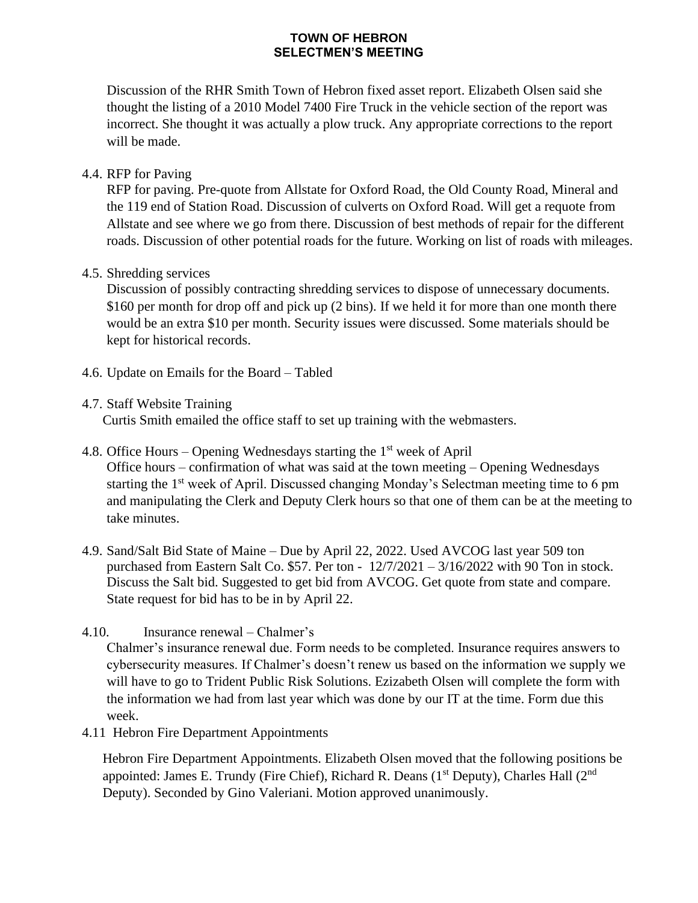#### **TOWN OF HEBRON SELECTMEN'S MEETING**

Discussion of the RHR Smith Town of Hebron fixed asset report. Elizabeth Olsen said she thought the listing of a 2010 Model 7400 Fire Truck in the vehicle section of the report was incorrect. She thought it was actually a plow truck. Any appropriate corrections to the report will be made.

## 4.4. RFP for Paving

RFP for paving. Pre-quote from Allstate for Oxford Road, the Old County Road, Mineral and the 119 end of Station Road. Discussion of culverts on Oxford Road. Will get a requote from Allstate and see where we go from there. Discussion of best methods of repair for the different roads. Discussion of other potential roads for the future. Working on list of roads with mileages.

## 4.5. Shredding services

Discussion of possibly contracting shredding services to dispose of unnecessary documents. \$160 per month for drop off and pick up (2 bins). If we held it for more than one month there would be an extra \$10 per month. Security issues were discussed. Some materials should be kept for historical records.

4.6. Update on Emails for the Board – Tabled

## 4.7. Staff Website Training

Curtis Smith emailed the office staff to set up training with the webmasters.

- 4.8. Office Hours Opening Wednesdays starting the  $1<sup>st</sup>$  week of April Office hours – confirmation of what was said at the town meeting – Opening Wednesdays starting the 1<sup>st</sup> week of April. Discussed changing Monday's Selectman meeting time to 6 pm and manipulating the Clerk and Deputy Clerk hours so that one of them can be at the meeting to take minutes.
- 4.9. Sand/Salt Bid State of Maine Due by April 22, 2022. Used AVCOG last year 509 ton purchased from Eastern Salt Co. \$57. Per ton - 12/7/2021 – 3/16/2022 with 90 Ton in stock. Discuss the Salt bid. Suggested to get bid from AVCOG. Get quote from state and compare. State request for bid has to be in by April 22.
- 4.10. Insurance renewal Chalmer's

Chalmer's insurance renewal due. Form needs to be completed. Insurance requires answers to cybersecurity measures. If Chalmer's doesn't renew us based on the information we supply we will have to go to Trident Public Risk Solutions. Ezizabeth Olsen will complete the form with the information we had from last year which was done by our IT at the time. Form due this week.

4.11 Hebron Fire Department Appointments

Hebron Fire Department Appointments. Elizabeth Olsen moved that the following positions be appointed: James E. Trundy (Fire Chief), Richard R. Deans ( $1<sup>st</sup>$  Deputy), Charles Hall ( $2<sup>nd</sup>$ Deputy). Seconded by Gino Valeriani. Motion approved unanimously.